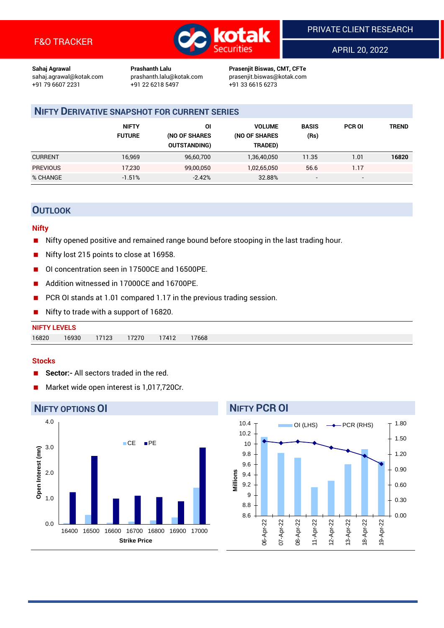

APRIL 20, 2022

**Sahaj Agrawal Prashanth Lalu Prasenjit Biswas, CMT, CFTe** +91 22 6218 5497 +91 33 6615 6273

sahaj.agrawal@kotak.com [prashanth.lalu@kotak.com](mailto:prashanth.lalu@kotak.com) prasenjit.biswas@kotak.com

## **NIFTY DERIVATIVE SNAPSHOT FOR CURRENT SERIES**

|                 | <b>NIFTY</b><br><b>FUTURE</b> | ΟI<br>(NO OF SHARES<br><b>OUTSTANDING)</b> | <b>VOLUME</b><br>(NO OF SHARES<br>TRADED) | <b>BASIS</b><br>(Rs)     | <b>PCR OI</b> | TREND |
|-----------------|-------------------------------|--------------------------------------------|-------------------------------------------|--------------------------|---------------|-------|
| <b>CURRENT</b>  | 16,969                        | 96,60,700                                  | 1,36,40,050                               | 11.35                    | 1.01          | 16820 |
| <b>PREVIOUS</b> | 17,230                        | 99,00,050                                  | 1,02,65,050                               | 56.6                     | 1.17          |       |
| % CHANGE        | $-1.51%$                      | $-2.42%$                                   | 32.88%                                    | $\overline{\phantom{a}}$ | -             |       |

## **OUTLOOK**

#### **Nifty**

- Nifty opened positive and remained range bound before stooping in the last trading hour.
- Nifty lost 215 points to close at 16958.
- OI concentration seen in 17500CE and 16500PE.
- Addition witnessed in 17000CE and 16700PE.
- PCR OI stands at 1.01 compared 1.17 in the previous trading session.
- Nifty to trade with a support of 16820.

#### **Stocks**

- **Sector:-** All sectors traded in the red.
- Market wide open interest is 1,017,720Cr.

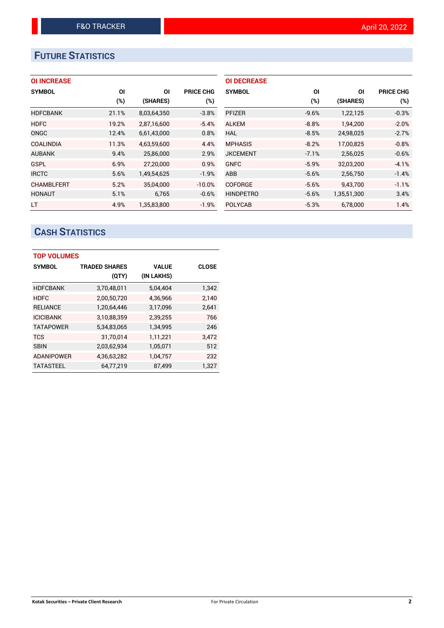# **FUTURE STATISTICS**

## **OI INCREASE**

| <b>SYMBOL</b>     | ΟI    | ΟI          | <b>PRICE CHG</b> |
|-------------------|-------|-------------|------------------|
|                   | (%)   | (SHARES)    | $(\%)$           |
| <b>HDFCBANK</b>   | 21.1% | 8,03,64,350 | $-3.8%$          |
| <b>HDFC</b>       | 19.2% | 2,87,16,600 | $-5.4%$          |
| ONGC              | 12.4% | 6,61,43,000 | 0.8%             |
| <b>COALINDIA</b>  | 11.3% | 4,63,59,600 | 4.4%             |
| <b>AUBANK</b>     | 9.4%  | 25,86,000   | 2.9%             |
| <b>GSPL</b>       | 6.9%  | 27,20,000   | 0.9%             |
| <b>IRCTC</b>      | 5.6%  | 1,49,54,625 | $-1.9%$          |
| <b>CHAMBLFERT</b> | 5.2%  | 35,04,000   | $-10.0%$         |
| <b>HONAUT</b>     | 5.1%  | 6.765       | $-0.6%$          |
| <b>LT</b>         | 4.9%  | 1,35,83,800 | $-1.9%$          |

| <b>OI DECREASE</b> |         |             |                  |
|--------------------|---------|-------------|------------------|
| <b>SYMBOL</b>      | ΟI      | ΟI          | <b>PRICE CHG</b> |
|                    | $(\%)$  | (SHARES)    | $(\%)$           |
| <b>PFIZER</b>      | $-9.6%$ | 1,22,125    | $-0.3%$          |
| <b>ALKEM</b>       | $-8.8%$ | 1,94,200    | $-2.0%$          |
| HAL                | $-8.5%$ | 24,98,025   | $-2.7%$          |
| <b>MPHASIS</b>     | $-8.2%$ | 17.00.825   | $-0.8%$          |
| <b>JKCEMENT</b>    | $-7.1%$ | 2,56,025    | $-0.6%$          |
| <b>GNFC</b>        | $-5.9%$ | 32.03.200   | $-4.1%$          |
| ABB                | $-5.6%$ | 2,56,750    | $-1.4%$          |
| <b>COFORGE</b>     | $-5.6%$ | 9,43,700    | $-1.1%$          |
| <b>HINDPETRO</b>   | $-5.6%$ | 1,35,51,300 | 3.4%             |
| <b>POLYCAB</b>     | $-5.3%$ | 6,78,000    | 1.4%             |

# **CASH STATISTICS**

| <b>TOP VOLUMES</b> |                      |              |              |  |  |  |  |
|--------------------|----------------------|--------------|--------------|--|--|--|--|
| <b>SYMBOL</b>      | <b>TRADED SHARES</b> | <b>VALUE</b> | <b>CLOSE</b> |  |  |  |  |
|                    | (QTY)                | (IN LAKHS)   |              |  |  |  |  |
| <b>HDFCBANK</b>    | 3,70,48,011          | 5,04,404     | 1,342        |  |  |  |  |
| <b>HDFC</b>        | 2,00,50,720          | 4,36,966     | 2,140        |  |  |  |  |
| <b>RELIANCE</b>    | 1,20,64,446          | 3,17,096     | 2,641        |  |  |  |  |
| <b>ICICIBANK</b>   | 3,10,88,359          | 2.39.255     | 766          |  |  |  |  |
| <b>TATAPOWER</b>   | 5,34,83,065          | 1,34,995     | 246          |  |  |  |  |
| <b>TCS</b>         | 31,70,014            | 1,11,221     | 3,472        |  |  |  |  |
| <b>SBIN</b>        | 2,03,62,934          | 1,05,071     | 512          |  |  |  |  |
| <b>ADANIPOWER</b>  | 4,36,63,282          | 1,04,757     | 232          |  |  |  |  |
| <b>TATASTEEL</b>   | 64,77,219            | 87,499       | 1,327        |  |  |  |  |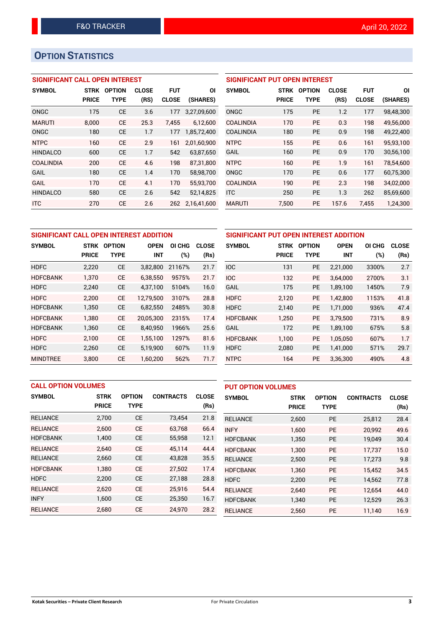# **OPTION STATISTICS**

### **SIGNIFICANT CALL OPEN INTEREST**

| <b>SYMBOL</b>    | <b>STRK</b>  | <b>OPTION</b> | <b>CLOSE</b> | <b>FUT</b>   | ΟI          |
|------------------|--------------|---------------|--------------|--------------|-------------|
|                  | <b>PRICE</b> | TYPE          | (RS)         | <b>CLOSE</b> | (SHARES)    |
| ONGC             | 175          | CE            | 3.6          | 177          | 3,27,09,600 |
| <b>MARUTI</b>    | 8.000        | CE            | 25.3         | 7.455        | 6,12,600    |
| ONGC             | 180          | CE            | 1.7          | 177          | 1,85,72,400 |
| <b>NTPC</b>      | 160          | <b>CE</b>     | 2.9          | 161          | 2,01,60,900 |
| <b>HINDALCO</b>  | 600          | <b>CE</b>     | 1.7          | 542          | 63,87,650   |
| <b>COALINDIA</b> | 200          | CE            | 4.6          | 198          | 87,31,800   |
| GAIL             | 180          | CE            | 1.4          | 170          | 58,98,700   |
| GAIL             | 170          | CE            | 4.1          | 170          | 55,93,700   |
| <b>HINDALCO</b>  | 580          | CE            | 2.6          | 542          | 52,14,825   |
| <b>ITC</b>       | 270          | CE            | 2.6          | 262          | 2,16,41,600 |

#### **SIGNIFICANT PUT OPEN INTEREST**

| <b>SYMBOL</b>    | <b>STRK</b><br><b>PRICE</b> | <b>OPTION</b><br>TYPE | <b>CLOSE</b><br>(RS) | <b>FUT</b><br><b>CLOSE</b> | ΟI<br>(SHARES) |
|------------------|-----------------------------|-----------------------|----------------------|----------------------------|----------------|
| ONGC             | 175                         | <b>PE</b>             | 1.2                  | 177                        | 98,48,300      |
| <b>COALINDIA</b> | 170                         | PF                    | 0.3                  | 198                        | 49,56,000      |
| <b>COALINDIA</b> | 180                         | PF                    | 0.9                  | 198                        | 49,22,400      |
| NTPC             | 155                         | PF                    | 0.6                  | 161                        | 95.93.100      |
| GAIL             | 160                         | PF                    | 0.9                  | 170                        | 30,56,100      |
| <b>NTPC</b>      | 160                         | PF                    | 1.9                  | 161                        | 78,54,600      |
| ONGC             | 170                         | PF                    | 0.6                  | 177                        | 60,75,300      |
| <b>COALINDIA</b> | 190                         | PF                    | 2.3                  | 198                        | 34,02,000      |
| <b>ITC</b>       | 250                         | <b>PE</b>             | 1.3                  | 262                        | 85,69,600      |
| <b>MARUTI</b>    | 7,500                       | <b>PE</b>             | 157.6                | 7,455                      | 1,24,300       |

| SIGNIFICANT CALL OPEN INTEREST ADDITION |                      |                       |                           |                  |                      |  |  |
|-----------------------------------------|----------------------|-----------------------|---------------------------|------------------|----------------------|--|--|
| <b>SYMBOL</b>                           | STRK<br><b>PRICE</b> | <b>OPTION</b><br>TYPE | <b>OPEN</b><br><b>INT</b> | OI CHG<br>$(\%)$ | <b>CLOSE</b><br>(Rs) |  |  |
| <b>HDFC</b>                             | 2,220                | <b>CE</b>             | 3,82,800                  | 21167%           | 21.7                 |  |  |
| <b>HDFCBANK</b>                         | 1.370                | <b>CE</b>             | 6,38,550                  | 9575%            | 21.7                 |  |  |
| <b>HDFC</b>                             | 2,240                | <b>CE</b>             | 4,37,100                  | 5104%            | 16.0                 |  |  |
| <b>HDFC</b>                             | 2.200                | <b>CE</b>             | 12.79.500                 | 3107%            | 28.8                 |  |  |
| <b>HDFCBANK</b>                         | 1,350                | <b>CE</b>             | 6,82,550                  | 2485%            | 30.8                 |  |  |
| <b>HDFCBANK</b>                         | 1.380                | <b>CE</b>             | 20,05,300                 | 2315%            | 17.4                 |  |  |
| <b>HDFCBANK</b>                         | 1,360                | <b>CE</b>             | 8,40,950                  | 1966%            | 25.6                 |  |  |
| <b>HDFC</b>                             | 2,100                | <b>CE</b>             | 1,55,100                  | 1297%            | 81.6                 |  |  |
| <b>HDFC</b>                             | 2,260                | <b>CE</b>             | 5,19,900                  | 607%             | 11.9                 |  |  |
| <b>MINDTREE</b>                         | 3.800                | CE                    | 1,60,200                  | 562%             | 71.7                 |  |  |

| SIGNIFICANT PUT OPEN INTEREST ADDITION |              |               |             |        |              |  |  |  |
|----------------------------------------|--------------|---------------|-------------|--------|--------------|--|--|--|
| <b>SYMBOL</b>                          | <b>STRK</b>  | <b>OPTION</b> | <b>OPEN</b> | OI CHG | <b>CLOSE</b> |  |  |  |
|                                        | <b>PRICE</b> | <b>TYPE</b>   | <b>INT</b>  | (%)    | (Rs)         |  |  |  |
| <b>IOC</b>                             | 131          | <b>PE</b>     | 2,21,000    | 3300%  | 2.7          |  |  |  |
| <b>IOC</b>                             | 132          | <b>PE</b>     | 3,64,000    | 2700%  | 3.1          |  |  |  |
| GAIL                                   | 175          | <b>PE</b>     | 1,89,100    | 1450%  | 7.9          |  |  |  |
| <b>HDFC</b>                            | 2,120        | <b>PE</b>     | 1,42,800    | 1153%  | 41.8         |  |  |  |
| <b>HDFC</b>                            | 2,140        | <b>PE</b>     | 1,71,000    | 936%   | 47.4         |  |  |  |
| <b>HDFCBANK</b>                        | 1.250        | <b>PE</b>     | 3,79,500    | 731%   | 8.9          |  |  |  |
| GAIL                                   | 172          | <b>PE</b>     | 1,89,100    | 675%   | 5.8          |  |  |  |
| <b>HDFCBANK</b>                        | 1,100        | <b>PE</b>     | 1,05,050    | 607%   | 1.7          |  |  |  |
| <b>HDFC</b>                            | 2,080        | <b>PE</b>     | 1,41,000    | 571%   | 29.7         |  |  |  |
| <b>NTPC</b>                            | 164          | PE            | 3,36,300    | 490%   | 4.8          |  |  |  |

| <b>CALL OPTION VOLUMES</b> |              |               |                  | <b>PUT OPTION VOLUMES</b> |                 |              |               |                  |              |
|----------------------------|--------------|---------------|------------------|---------------------------|-----------------|--------------|---------------|------------------|--------------|
| <b>SYMBOL</b>              | <b>STRK</b>  | <b>OPTION</b> | <b>CONTRACTS</b> | <b>CLOSE</b>              | <b>SYMBOL</b>   | <b>STRK</b>  | <b>OPTION</b> | <b>CONTRACTS</b> | <b>CLOSE</b> |
|                            | <b>PRICE</b> | <b>TYPE</b>   |                  | (Rs)                      |                 | <b>PRICE</b> | <b>TYPE</b>   |                  | (Rs)         |
| <b>RELIANCE</b>            | 2,700        | <b>CE</b>     | 73,454           | 21.8                      | <b>RELIANCE</b> | 2,600        | PE            | 25,812           | 28.4         |
| <b>RELIANCE</b>            | 2.600        | <b>CE</b>     | 63.768           | 66.4                      | <b>INFY</b>     | 1.600        | <b>PE</b>     | 20.992           | 49.6         |
| <b>HDFCBANK</b>            | 1,400        | <b>CE</b>     | 55,958           | 12.1                      | <b>HDFCBANK</b> | 1,350        | <b>PE</b>     | 19.049           | 30.4         |
| <b>RELIANCE</b>            | 2.640        | <b>CE</b>     | 45,114           | 44.4                      | <b>HDFCBANK</b> | 1.300        | <b>PE</b>     | 17.737           | 15.0         |
| <b>RELIANCE</b>            | 2,660        | <b>CE</b>     | 43,828           | 35.5                      | <b>RELIANCE</b> | 2.500        | <b>PE</b>     | 17.273           | 9.8          |
| <b>HDFCBANK</b>            | 1.380        | <b>CE</b>     | 27,502           | 17.4                      | <b>HDFCBANK</b> | 1.360        | <b>PE</b>     | 15.452           | 34.5         |
| <b>HDFC</b>                | 2,200        | <b>CE</b>     | 27,188           | 28.8                      | <b>HDFC</b>     | 2,200        | <b>PE</b>     | 14,562           | 77.8         |
| <b>RELIANCE</b>            | 2.620        | <b>CE</b>     | 25.916           | 54.4                      | <b>RELIANCE</b> | 2.640        | <b>PE</b>     | 12.654           | 44.0         |
| <b>INFY</b>                | 1.600        | <b>CE</b>     | 25,350           | 16.7                      | <b>HDFCBANK</b> | 1,340        | <b>PE</b>     | 12,529           | 26.3         |
| <b>RELIANCE</b>            | 2,680        | <b>CE</b>     | 24,970           | 28.2                      | <b>RELIANCE</b> | 2,560        | PE            | 11.140           | 16.9         |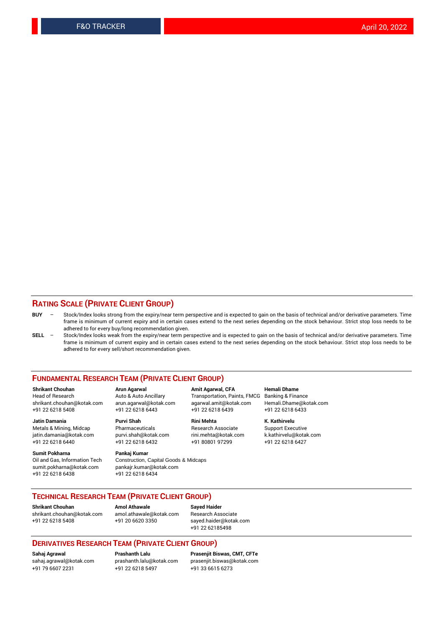#### **RATING SCALE (PRIVATE CLIENT GROUP)**

- **BUY**  Stock/Index looks strong from the expiry/near term perspective and is expected to gain on the basis of technical and/or derivative parameters. Time frame is minimum of current expiry and in certain cases extend to the next series depending on the stock behaviour. Strict stop loss needs to be adhered to for every buy/long recommendation given.
- **SELL** Stock/Index looks weak from the expiry/near term perspective and is expected to gain on the basis of technical and/or derivative parameters. Time frame is minimum of current expiry and in certain cases extend to the next series depending on the stock behaviour. Strict stop loss needs to be adhered to for every sell/short recommendation given.

#### **FUNDAMENTAL RESEARCH TEAM (PRIVATE CLIENT GROUP)**

**Shrikant Chouhan Arun Agarwal Amit Agarwal, CFA Hemali Dhame** shrikant.chouhan@kotak.com arun.agarwal@kotak.com agarwal.amit@kotak.com Hemali.Dhame@kotak.com +91 22 6218 5408 +91 22 6218 6443 +91 22 6218 6439 +91 22 6218 6433

Metals & Mining, Midcap Pharmaceuticals Pharmaceuticals Research Associate Support Executive<br>
iatin.damania@kotak.com purvi.shah@kotak.com rini.mehta@kotak.com k.kathirvelu@kotak.com jatin.damania@kotak.com

**Sumit Pokharna** Pankaj Kumar<br>Oil and Gas, Information Tech Construction, sumit.pokharna@kotak.com pankajr.kumar@kotak.com +91 22 6218 6438 +91 22 6218 6434

Construction, Capital Goods & Midcaps

Transportation, Paints, FMCG

**Jatin Damania Purvi Shah Rini Mehta K. Kathirvelu** +91 22 6218 6440 +91 22 6218 6432 +91 80801 97299 +91 22 6218 6427

#### **TECHNICAL RESEARCH TEAM (PRIVATE CLIENT GROUP)**

**Shrikant Chouhan Amol Athawale Sayed Haider** [shrikant.chouhan@kotak.com](mailto:shrikant.chouhan@kotak.com) [amol.athawale@kotak.com](mailto:amol.athawale@kotak.com) Research Associate +91 22 6218 5408 +91 20 6620 3350 [sayed.haider@kotak.com](mailto:sayed.haider@kotak.com)

+91 22 62185498

#### **DERIVATIVES RESEARCH TEAM (PRIVATE CLIENT GROUP)**

+91 79 6607 2231 +91 22 6218 5497 +91 33 6615 6273

**Sahaj Agrawal Prashanth Lalu Prasenjit Biswas, CMT, CFTe** [prasenjit.biswas@kotak.com](mailto:prasenjit.biswas@kotak.com)